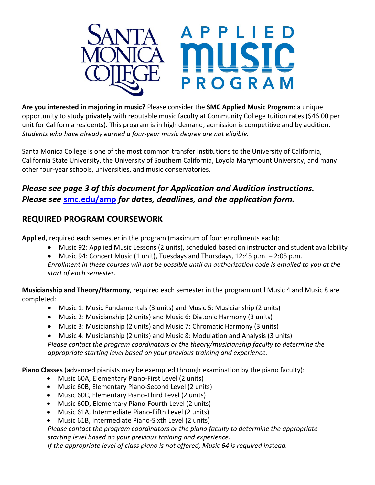

**Are you interested in majoring in music?** Please consider the **SMC Applied Music Program**: a unique opportunity to study privately with reputable music faculty at Community College tuition rates (\$46.00 per unit for California residents). This program is in high demand; admission is competitive and by audition. *Students who have already earned a four-year music degree are not eligible.*

Santa Monica College is one of the most common transfer institutions to the University of California, California State University, the University of Southern California, Loyola Marymount University, and many other four-year schools, universities, and music conservatories.

## *Please see page 3 of this document for Application and Audition instructions. Please see* **[smc.edu/amp](https://www.smc.edu/amp)** *for dates, deadlines, and the application form.*

### **REQUIRED PROGRAM COURSEWORK**

**Applied**, required each semester in the program (maximum of four enrollments each):

- Music 92: Applied Music Lessons (2 units), scheduled based on instructor and student availability
- Music 94: Concert Music (1 unit), Tuesdays and Thursdays, 12:45 p.m. 2:05 p.m.

*Enrollment in these courses will not be possible until an authorization code is emailed to you at the start of each semester.*

**Musicianship and Theory/Harmony**, required each semester in the program until Music 4 and Music 8 are completed:

- Music 1: Music Fundamentals (3 units) and Music 5: Musicianship (2 units)
- Music 2: Musicianship (2 units) and Music 6: Diatonic Harmony (3 units)
- Music 3: Musicianship (2 units) and Music 7: Chromatic Harmony (3 units)
- Music 4: Musicianship (2 units) and Music 8: Modulation and Analysis (3 units)

*Please contact the program coordinators or the theory/musicianship faculty to determine the appropriate starting level based on your previous training and experience.*

**Piano Classes** (advanced pianists may be exempted through examination by the piano faculty):

- Music 60A, Elementary Piano-First Level (2 units)
- Music 60B, Elementary Piano-Second Level (2 units)
- Music 60C, Elementary Piano-Third Level (2 units)
- Music 60D, Elementary Piano-Fourth Level (2 units)
- Music 61A, Intermediate Piano-Fifth Level (2 units)
- Music 61B, Intermediate Piano-Sixth Level (2 units)

*Please contact the program coordinators or the piano faculty to determine the appropriate starting level based on your previous training and experience.*

*If the appropriate level of class piano is not offered, Music 64 is required instead.*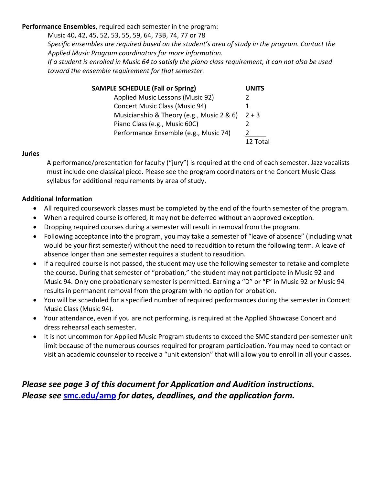#### **Performance Ensembles**, required each semester in the program:

Music 40, 42, 45, 52, 53, 55, 59, 64, 73B, 74, 77 or 78

*Specific ensembles are required based on the student's area of study in the program. Contact the Applied Music Program coordinators for more information.*

*If a student is enrolled in Music 64 to satisfy the piano class requirement, it can not also be used toward the ensemble requirement for that semester.*

| <b>SAMPLE SCHEDULE (Fall or Spring)</b>   | <b>UNITS</b> |
|-------------------------------------------|--------------|
| Applied Music Lessons (Music 92)          |              |
| <b>Concert Music Class (Music 94)</b>     |              |
| Musicianship & Theory (e.g., Music 2 & 6) | $2 + 3$      |
| Piano Class (e.g., Music 60C)             |              |
| Performance Ensemble (e.g., Music 74)     |              |
|                                           | 12 Total     |

#### **Juries**

A performance/presentation for faculty ("jury") is required at the end of each semester. Jazz vocalists must include one classical piece. Please see the program coordinators or the Concert Music Class syllabus for additional requirements by area of study.

#### **Additional Information**

- All required coursework classes must be completed by the end of the fourth semester of the program.
- When a required course is offered, it may not be deferred without an approved exception.
- Dropping required courses during a semester will result in removal from the program.
- Following acceptance into the program, you may take a semester of "leave of absence" (including what would be your first semester) without the need to reaudition to return the following term. A leave of absence longer than one semester requires a student to reaudition.
- If a required course is not passed, the student may use the following semester to retake and complete the course. During that semester of "probation," the student may not participate in Music 92 and Music 94. Only one probationary semester is permitted. Earning a "D" or "F" in Music 92 or Music 94 results in permanent removal from the program with no option for probation.
- You will be scheduled for a specified number of required performances during the semester in Concert Music Class (Music 94).
- Your attendance, even if you are not performing, is required at the Applied Showcase Concert and dress rehearsal each semester.
- It is not uncommon for Applied Music Program students to exceed the SMC standard per-semester unit limit because of the numerous courses required for program participation. You may need to contact or visit an academic counselor to receive a "unit extension" that will allow you to enroll in all your classes.

## *Please see page 3 of this document for Application and Audition instructions. Please see* **[smc.edu/amp](https://www.smc.edu/amp)** *for dates, deadlines, and the application form.*